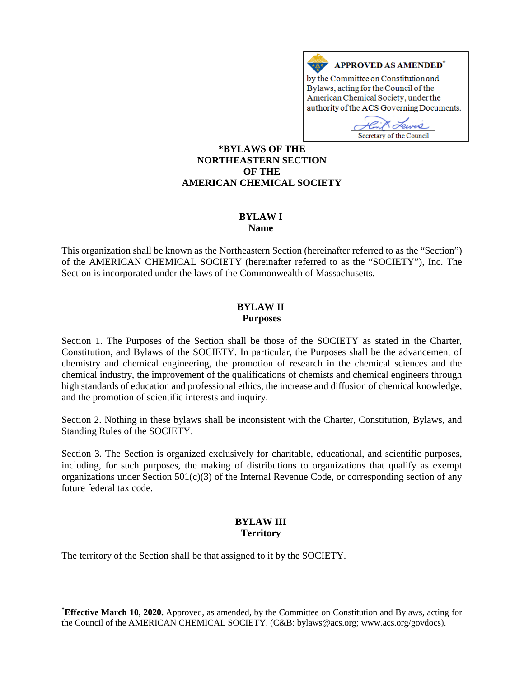

Secretary of the Council

## **[\\*](#page-0-0)BYLAWS OF THE NORTHEASTERN SECTION OF THE AMERICAN CHEMICAL SOCIETY**

# **BYLAW I**

#### **Name**

This organization shall be known as the Northeastern Section (hereinafter referred to as the "Section") of the AMERICAN CHEMICAL SOCIETY (hereinafter referred to as the "SOCIETY"), Inc. The Section is incorporated under the laws of the Commonwealth of Massachusetts.

### **BYLAW II Purposes**

Section 1. The Purposes of the Section shall be those of the SOCIETY as stated in the Charter, Constitution, and Bylaws of the SOCIETY. In particular, the Purposes shall be the advancement of chemistry and chemical engineering, the promotion of research in the chemical sciences and the chemical industry, the improvement of the qualifications of chemists and chemical engineers through high standards of education and professional ethics, the increase and diffusion of chemical knowledge, and the promotion of scientific interests and inquiry.

Section 2. Nothing in these bylaws shall be inconsistent with the Charter, Constitution, Bylaws, and Standing Rules of the SOCIETY.

Section 3. The Section is organized exclusively for charitable, educational, and scientific purposes, including, for such purposes, the making of distributions to organizations that qualify as exempt organizations under Section  $501(c)(3)$  of the Internal Revenue Code, or corresponding section of any future federal tax code.

# **BYLAW III Territory**

The territory of the Section shall be that assigned to it by the SOCIETY.

 $\overline{a}$ 

<span id="page-0-0"></span>**<sup>\*</sup> Effective March 10, 2020.** Approved, as amended, by the Committee on Constitution and Bylaws, acting for the Council of the AMERICAN CHEMICAL SOCIETY. (C&B: bylaws@acs.org; www.acs.org/govdocs).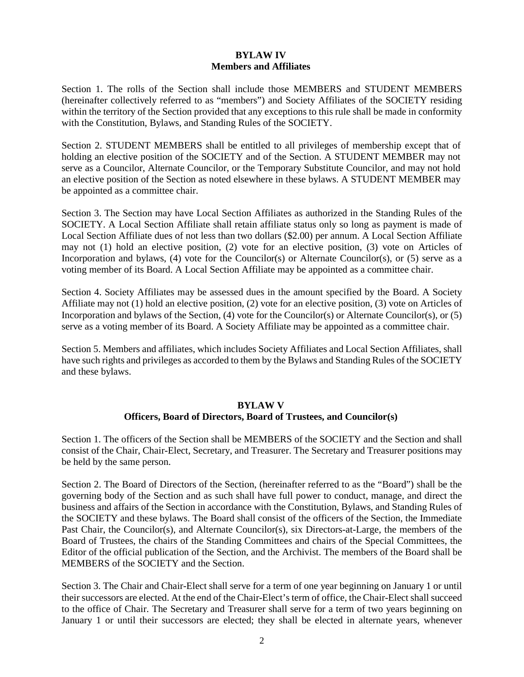# **BYLAW IV Members and Affiliates**

Section 1. The rolls of the Section shall include those MEMBERS and STUDENT MEMBERS (hereinafter collectively referred to as "members") and Society Affiliates of the SOCIETY residing within the territory of the Section provided that any exceptions to this rule shall be made in conformity with the Constitution, Bylaws, and Standing Rules of the SOCIETY.

Section 2. STUDENT MEMBERS shall be entitled to all privileges of membership except that of holding an elective position of the SOCIETY and of the Section. A STUDENT MEMBER may not serve as a Councilor, Alternate Councilor, or the Temporary Substitute Councilor, and may not hold an elective position of the Section as noted elsewhere in these bylaws. A STUDENT MEMBER may be appointed as a committee chair.

Section 3. The Section may have Local Section Affiliates as authorized in the Standing Rules of the SOCIETY. A Local Section Affiliate shall retain affiliate status only so long as payment is made of Local Section Affiliate dues of not less than two dollars (\$2.00) per annum. A Local Section Affiliate may not (1) hold an elective position, (2) vote for an elective position, (3) vote on Articles of Incorporation and bylaws, (4) vote for the Councilor(s) or Alternate Councilor(s), or (5) serve as a voting member of its Board. A Local Section Affiliate may be appointed as a committee chair.

Section 4. Society Affiliates may be assessed dues in the amount specified by the Board. A Society Affiliate may not (1) hold an elective position, (2) vote for an elective position, (3) vote on Articles of Incorporation and bylaws of the Section, (4) vote for the Councilor(s) or Alternate Councilor(s), or (5) serve as a voting member of its Board. A Society Affiliate may be appointed as a committee chair.

Section 5. Members and affiliates, which includes Society Affiliates and Local Section Affiliates, shall have such rights and privileges as accorded to them by the Bylaws and Standing Rules of the SOCIETY and these bylaws.

#### **BYLAW V Officers, Board of Directors, Board of Trustees, and Councilor(s)**

Section 1. The officers of the Section shall be MEMBERS of the SOCIETY and the Section and shall consist of the Chair, Chair-Elect, Secretary, and Treasurer. The Secretary and Treasurer positions may be held by the same person.

Section 2. The Board of Directors of the Section, (hereinafter referred to as the "Board") shall be the governing body of the Section and as such shall have full power to conduct, manage, and direct the business and affairs of the Section in accordance with the Constitution, Bylaws, and Standing Rules of the SOCIETY and these bylaws. The Board shall consist of the officers of the Section, the Immediate Past Chair, the Councilor(s), and Alternate Councilor(s), six Directors-at-Large, the members of the Board of Trustees, the chairs of the Standing Committees and chairs of the Special Committees, the Editor of the official publication of the Section, and the Archivist. The members of the Board shall be MEMBERS of the SOCIETY and the Section.

Section 3. The Chair and Chair-Elect shall serve for a term of one year beginning on January 1 or until their successors are elected. At the end of the Chair-Elect's term of office, the Chair-Elect shall succeed to the office of Chair. The Secretary and Treasurer shall serve for a term of two years beginning on January 1 or until their successors are elected; they shall be elected in alternate years, whenever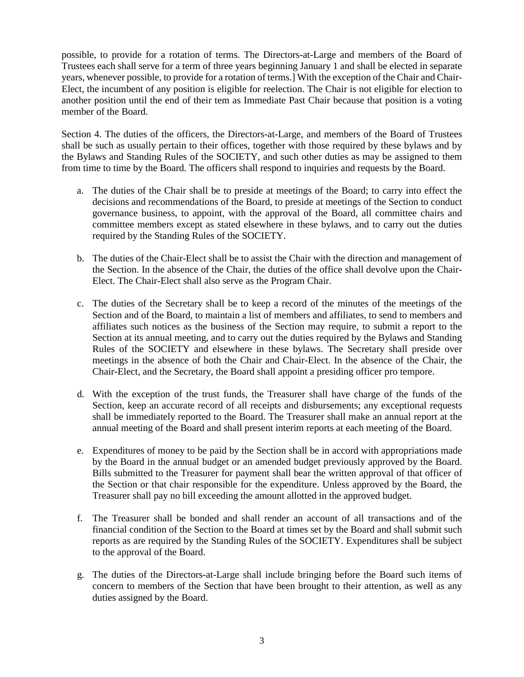possible, to provide for a rotation of terms. The Directors-at-Large and members of the Board of Trustees each shall serve for a term of three years beginning January 1 and shall be elected in separate years, whenever possible, to provide for a rotation of terms.] With the exception of the Chair and Chair-Elect, the incumbent of any position is eligible for reelection. The Chair is not eligible for election to another position until the end of their tem as Immediate Past Chair because that position is a voting member of the Board.

Section 4. The duties of the officers, the Directors-at-Large, and members of the Board of Trustees shall be such as usually pertain to their offices, together with those required by these bylaws and by the Bylaws and Standing Rules of the SOCIETY, and such other duties as may be assigned to them from time to time by the Board. The officers shall respond to inquiries and requests by the Board.

- a. The duties of the Chair shall be to preside at meetings of the Board; to carry into effect the decisions and recommendations of the Board, to preside at meetings of the Section to conduct governance business, to appoint, with the approval of the Board, all committee chairs and committee members except as stated elsewhere in these bylaws, and to carry out the duties required by the Standing Rules of the SOCIETY.
- b. The duties of the Chair-Elect shall be to assist the Chair with the direction and management of the Section. In the absence of the Chair, the duties of the office shall devolve upon the Chair-Elect. The Chair-Elect shall also serve as the Program Chair.
- c. The duties of the Secretary shall be to keep a record of the minutes of the meetings of the Section and of the Board, to maintain a list of members and affiliates, to send to members and affiliates such notices as the business of the Section may require, to submit a report to the Section at its annual meeting, and to carry out the duties required by the Bylaws and Standing Rules of the SOCIETY and elsewhere in these bylaws. The Secretary shall preside over meetings in the absence of both the Chair and Chair-Elect. In the absence of the Chair, the Chair-Elect, and the Secretary, the Board shall appoint a presiding officer pro tempore.
- d. With the exception of the trust funds, the Treasurer shall have charge of the funds of the Section, keep an accurate record of all receipts and disbursements; any exceptional requests shall be immediately reported to the Board. The Treasurer shall make an annual report at the annual meeting of the Board and shall present interim reports at each meeting of the Board.
- e. Expenditures of money to be paid by the Section shall be in accord with appropriations made by the Board in the annual budget or an amended budget previously approved by the Board. Bills submitted to the Treasurer for payment shall bear the written approval of that officer of the Section or that chair responsible for the expenditure. Unless approved by the Board, the Treasurer shall pay no bill exceeding the amount allotted in the approved budget.
- f. The Treasurer shall be bonded and shall render an account of all transactions and of the financial condition of the Section to the Board at times set by the Board and shall submit such reports as are required by the Standing Rules of the SOCIETY. Expenditures shall be subject to the approval of the Board.
- g. The duties of the Directors-at-Large shall include bringing before the Board such items of concern to members of the Section that have been brought to their attention, as well as any duties assigned by the Board.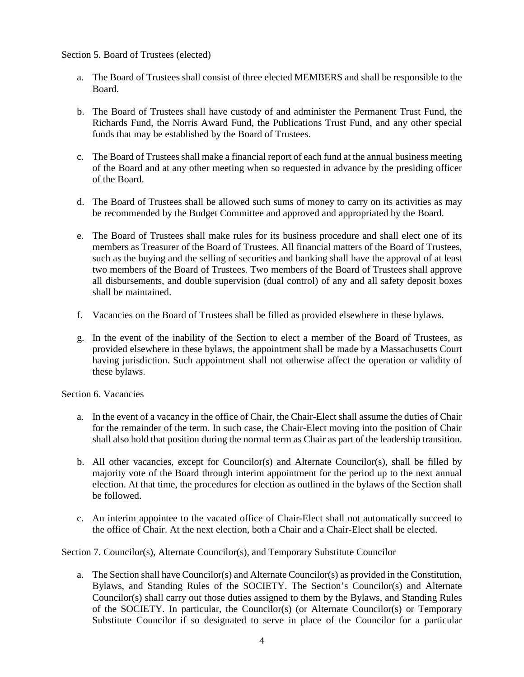### Section 5. Board of Trustees (elected)

- a. The Board of Trustees shall consist of three elected MEMBERS and shall be responsible to the Board.
- b. The Board of Trustees shall have custody of and administer the Permanent Trust Fund, the Richards Fund, the Norris Award Fund, the Publications Trust Fund, and any other special funds that may be established by the Board of Trustees.
- c. The Board of Trustees shall make a financial report of each fund at the annual business meeting of the Board and at any other meeting when so requested in advance by the presiding officer of the Board.
- d. The Board of Trustees shall be allowed such sums of money to carry on its activities as may be recommended by the Budget Committee and approved and appropriated by the Board.
- e. The Board of Trustees shall make rules for its business procedure and shall elect one of its members as Treasurer of the Board of Trustees. All financial matters of the Board of Trustees, such as the buying and the selling of securities and banking shall have the approval of at least two members of the Board of Trustees. Two members of the Board of Trustees shall approve all disbursements, and double supervision (dual control) of any and all safety deposit boxes shall be maintained.
- f. Vacancies on the Board of Trustees shall be filled as provided elsewhere in these bylaws.
- g. In the event of the inability of the Section to elect a member of the Board of Trustees, as provided elsewhere in these bylaws, the appointment shall be made by a Massachusetts Court having jurisdiction. Such appointment shall not otherwise affect the operation or validity of these bylaws.

#### Section 6. Vacancies

- a. In the event of a vacancy in the office of Chair, the Chair-Elect shall assume the duties of Chair for the remainder of the term. In such case, the Chair-Elect moving into the position of Chair shall also hold that position during the normal term as Chair as part of the leadership transition.
- b. All other vacancies, except for Councilor(s) and Alternate Councilor(s), shall be filled by majority vote of the Board through interim appointment for the period up to the next annual election. At that time, the procedures for election as outlined in the bylaws of the Section shall be followed.
- c. An interim appointee to the vacated office of Chair-Elect shall not automatically succeed to the office of Chair. At the next election, both a Chair and a Chair-Elect shall be elected.

Section 7. Councilor(s), Alternate Councilor(s), and Temporary Substitute Councilor

a. The Section shall have Councilor(s) and Alternate Councilor(s) as provided in the Constitution, Bylaws, and Standing Rules of the SOCIETY. The Section's Councilor(s) and Alternate Councilor(s) shall carry out those duties assigned to them by the Bylaws, and Standing Rules of the SOCIETY. In particular, the Councilor(s) (or Alternate Councilor(s) or Temporary Substitute Councilor if so designated to serve in place of the Councilor for a particular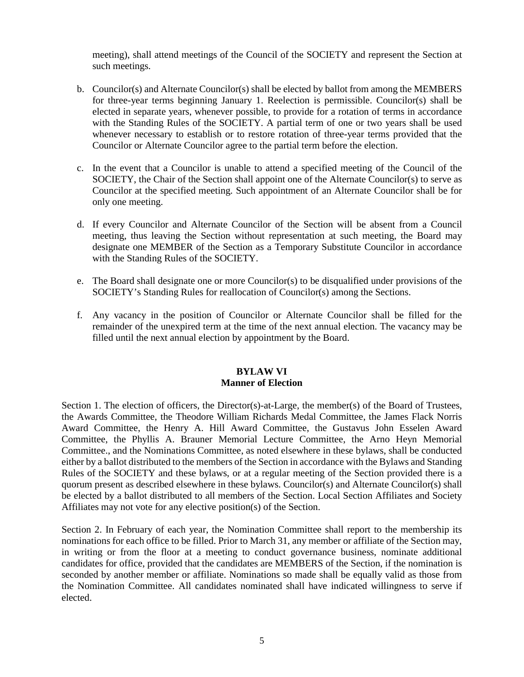meeting), shall attend meetings of the Council of the SOCIETY and represent the Section at such meetings.

- b. Councilor(s) and Alternate Councilor(s) shall be elected by ballot from among the MEMBERS for three-year terms beginning January 1. Reelection is permissible. Councilor(s) shall be elected in separate years, whenever possible, to provide for a rotation of terms in accordance with the Standing Rules of the SOCIETY. A partial term of one or two years shall be used whenever necessary to establish or to restore rotation of three-year terms provided that the Councilor or Alternate Councilor agree to the partial term before the election.
- c. In the event that a Councilor is unable to attend a specified meeting of the Council of the SOCIETY, the Chair of the Section shall appoint one of the Alternate Councilor(s) to serve as Councilor at the specified meeting. Such appointment of an Alternate Councilor shall be for only one meeting.
- d. If every Councilor and Alternate Councilor of the Section will be absent from a Council meeting, thus leaving the Section without representation at such meeting, the Board may designate one MEMBER of the Section as a Temporary Substitute Councilor in accordance with the Standing Rules of the SOCIETY.
- e. The Board shall designate one or more Councilor(s) to be disqualified under provisions of the SOCIETY's Standing Rules for reallocation of Councilor(s) among the Sections.
- f. Any vacancy in the position of Councilor or Alternate Councilor shall be filled for the remainder of the unexpired term at the time of the next annual election. The vacancy may be filled until the next annual election by appointment by the Board.

## **BYLAW VI Manner of Election**

Section 1. The election of officers, the Director(s)-at-Large, the member(s) of the Board of Trustees, the Awards Committee, the Theodore William Richards Medal Committee, the James Flack Norris Award Committee, the Henry A. Hill Award Committee, the Gustavus John Esselen Award Committee, the Phyllis A. Brauner Memorial Lecture Committee, the Arno Heyn Memorial Committee., and the Nominations Committee, as noted elsewhere in these bylaws, shall be conducted either by a ballot distributed to the members of the Section in accordance with the Bylaws and Standing Rules of the SOCIETY and these bylaws, or at a regular meeting of the Section provided there is a quorum present as described elsewhere in these bylaws. Councilor(s) and Alternate Councilor(s) shall be elected by a ballot distributed to all members of the Section. Local Section Affiliates and Society Affiliates may not vote for any elective position(s) of the Section.

Section 2. In February of each year, the Nomination Committee shall report to the membership its nominations for each office to be filled. Prior to March 31, any member or affiliate of the Section may, in writing or from the floor at a meeting to conduct governance business, nominate additional candidates for office, provided that the candidates are MEMBERS of the Section, if the nomination is seconded by another member or affiliate. Nominations so made shall be equally valid as those from the Nomination Committee. All candidates nominated shall have indicated willingness to serve if elected.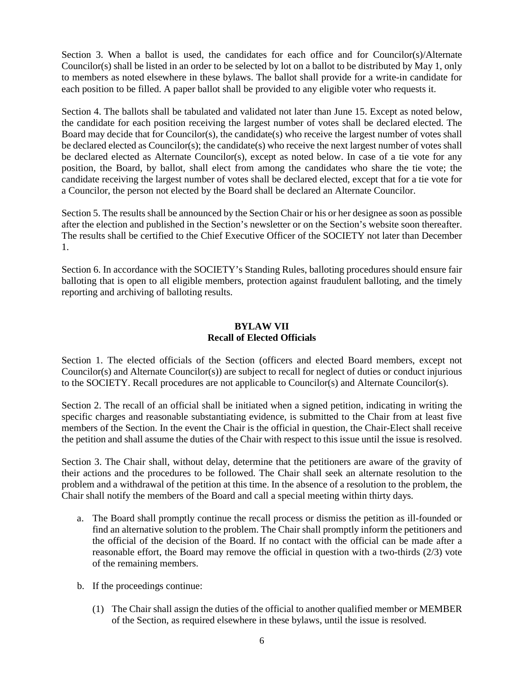Section 3. When a ballot is used, the candidates for each office and for Councilor(s)/Alternate Councilor(s) shall be listed in an order to be selected by lot on a ballot to be distributed by May 1, only to members as noted elsewhere in these bylaws. The ballot shall provide for a write-in candidate for each position to be filled. A paper ballot shall be provided to any eligible voter who requests it.

Section 4. The ballots shall be tabulated and validated not later than June 15. Except as noted below, the candidate for each position receiving the largest number of votes shall be declared elected. The Board may decide that for Councilor(s), the candidate(s) who receive the largest number of votes shall be declared elected as Councilor(s); the candidate(s) who receive the next largest number of votes shall be declared elected as Alternate Councilor(s), except as noted below. In case of a tie vote for any position, the Board, by ballot, shall elect from among the candidates who share the tie vote; the candidate receiving the largest number of votes shall be declared elected, except that for a tie vote for a Councilor, the person not elected by the Board shall be declared an Alternate Councilor.

Section 5. The results shall be announced by the Section Chair or his or her designee as soon as possible after the election and published in the Section's newsletter or on the Section's website soon thereafter. The results shall be certified to the Chief Executive Officer of the SOCIETY not later than December 1.

Section 6. In accordance with the SOCIETY's Standing Rules, balloting procedures should ensure fair balloting that is open to all eligible members, protection against fraudulent balloting, and the timely reporting and archiving of balloting results.

# **BYLAW VII Recall of Elected Officials**

Section 1. The elected officials of the Section (officers and elected Board members, except not Councilor(s) and Alternate Councilor(s)) are subject to recall for neglect of duties or conduct injurious to the SOCIETY. Recall procedures are not applicable to Councilor(s) and Alternate Councilor(s).

Section 2. The recall of an official shall be initiated when a signed petition, indicating in writing the specific charges and reasonable substantiating evidence, is submitted to the Chair from at least five members of the Section. In the event the Chair is the official in question, the Chair-Elect shall receive the petition and shall assume the duties of the Chair with respect to this issue until the issue is resolved.

Section 3. The Chair shall, without delay, determine that the petitioners are aware of the gravity of their actions and the procedures to be followed. The Chair shall seek an alternate resolution to the problem and a withdrawal of the petition at this time. In the absence of a resolution to the problem, the Chair shall notify the members of the Board and call a special meeting within thirty days.

- a. The Board shall promptly continue the recall process or dismiss the petition as ill-founded or find an alternative solution to the problem. The Chair shall promptly inform the petitioners and the official of the decision of the Board. If no contact with the official can be made after a reasonable effort, the Board may remove the official in question with a two-thirds (2/3) vote of the remaining members.
- b. If the proceedings continue:
	- (1) The Chair shall assign the duties of the official to another qualified member or MEMBER of the Section, as required elsewhere in these bylaws, until the issue is resolved.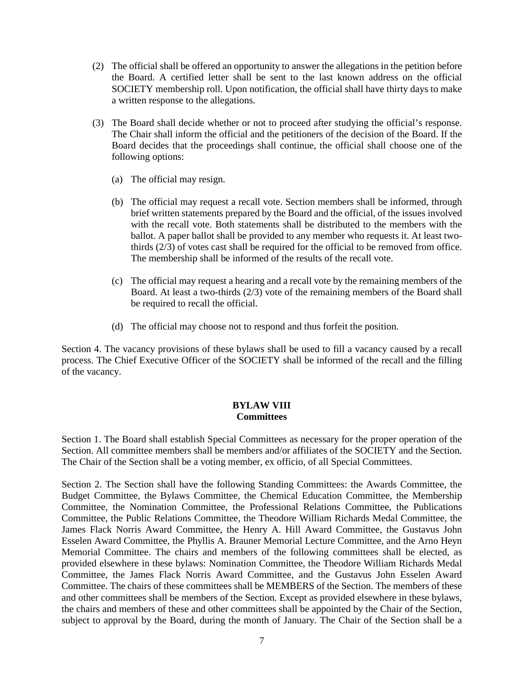- (2) The official shall be offered an opportunity to answer the allegations in the petition before the Board. A certified letter shall be sent to the last known address on the official SOCIETY membership roll. Upon notification, the official shall have thirty days to make a written response to the allegations.
- (3) The Board shall decide whether or not to proceed after studying the official's response. The Chair shall inform the official and the petitioners of the decision of the Board. If the Board decides that the proceedings shall continue, the official shall choose one of the following options:
	- (a) The official may resign.
	- (b) The official may request a recall vote. Section members shall be informed, through brief written statements prepared by the Board and the official, of the issues involved with the recall vote. Both statements shall be distributed to the members with the ballot. A paper ballot shall be provided to any member who requests it. At least twothirds  $(2/3)$  of votes cast shall be required for the official to be removed from office. The membership shall be informed of the results of the recall vote.
	- (c) The official may request a hearing and a recall vote by the remaining members of the Board. At least a two-thirds (2/3) vote of the remaining members of the Board shall be required to recall the official.
	- (d) The official may choose not to respond and thus forfeit the position.

Section 4. The vacancy provisions of these bylaws shall be used to fill a vacancy caused by a recall process. The Chief Executive Officer of the SOCIETY shall be informed of the recall and the filling of the vacancy.

#### **BYLAW VIII Committees**

Section 1. The Board shall establish Special Committees as necessary for the proper operation of the Section. All committee members shall be members and/or affiliates of the SOCIETY and the Section. The Chair of the Section shall be a voting member, ex officio, of all Special Committees.

Section 2. The Section shall have the following Standing Committees: the Awards Committee, the Budget Committee, the Bylaws Committee, the Chemical Education Committee, the Membership Committee, the Nomination Committee, the Professional Relations Committee, the Publications Committee, the Public Relations Committee, the Theodore William Richards Medal Committee, the James Flack Norris Award Committee, the Henry A. Hill Award Committee, the Gustavus John Esselen Award Committee, the Phyllis A. Brauner Memorial Lecture Committee, and the Arno Heyn Memorial Committee. The chairs and members of the following committees shall be elected, as provided elsewhere in these bylaws: Nomination Committee, the Theodore William Richards Medal Committee, the James Flack Norris Award Committee, and the Gustavus John Esselen Award Committee. The chairs of these committees shall be MEMBERS of the Section. The members of these and other committees shall be members of the Section. Except as provided elsewhere in these bylaws, the chairs and members of these and other committees shall be appointed by the Chair of the Section, subject to approval by the Board, during the month of January. The Chair of the Section shall be a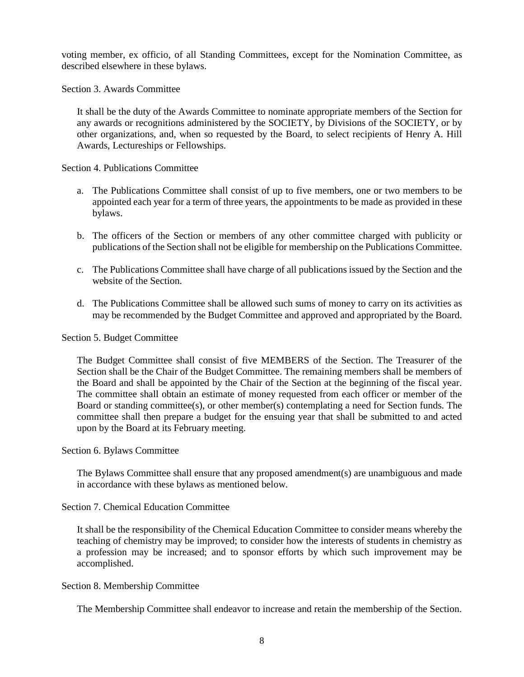voting member, ex officio, of all Standing Committees, except for the Nomination Committee, as described elsewhere in these bylaws.

Section 3. Awards Committee

It shall be the duty of the Awards Committee to nominate appropriate members of the Section for any awards or recognitions administered by the SOCIETY, by Divisions of the SOCIETY, or by other organizations, and, when so requested by the Board, to select recipients of Henry A. Hill Awards, Lectureships or Fellowships.

Section 4. Publications Committee

- a. The Publications Committee shall consist of up to five members, one or two members to be appointed each year for a term of three years, the appointments to be made as provided in these bylaws.
- b. The officers of the Section or members of any other committee charged with publicity or publications of the Section shall not be eligible for membership on the Publications Committee.
- c. The Publications Committee shall have charge of all publications issued by the Section and the website of the Section.
- d. The Publications Committee shall be allowed such sums of money to carry on its activities as may be recommended by the Budget Committee and approved and appropriated by the Board.

Section 5. Budget Committee

The Budget Committee shall consist of five MEMBERS of the Section. The Treasurer of the Section shall be the Chair of the Budget Committee. The remaining members shall be members of the Board and shall be appointed by the Chair of the Section at the beginning of the fiscal year. The committee shall obtain an estimate of money requested from each officer or member of the Board or standing committee(s), or other member(s) contemplating a need for Section funds. The committee shall then prepare a budget for the ensuing year that shall be submitted to and acted upon by the Board at its February meeting.

#### Section 6. Bylaws Committee

The Bylaws Committee shall ensure that any proposed amendment(s) are unambiguous and made in accordance with these bylaws as mentioned below.

#### Section 7. Chemical Education Committee

It shall be the responsibility of the Chemical Education Committee to consider means whereby the teaching of chemistry may be improved; to consider how the interests of students in chemistry as a profession may be increased; and to sponsor efforts by which such improvement may be accomplished.

#### Section 8. Membership Committee

The Membership Committee shall endeavor to increase and retain the membership of the Section.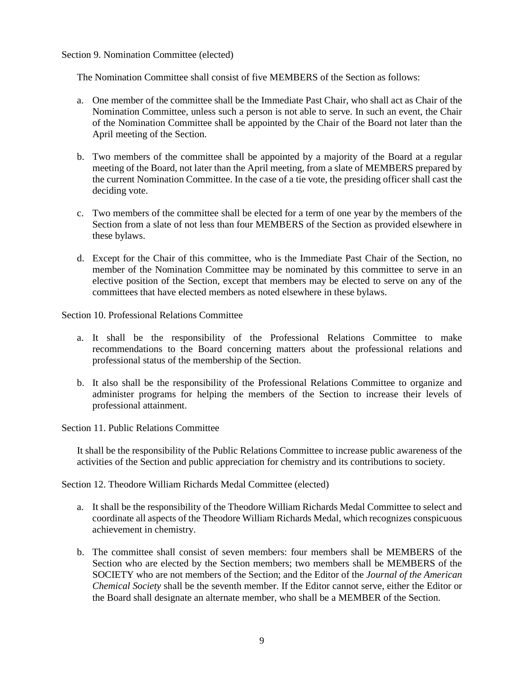#### Section 9. Nomination Committee (elected)

The Nomination Committee shall consist of five MEMBERS of the Section as follows:

- a. One member of the committee shall be the Immediate Past Chair, who shall act as Chair of the Nomination Committee, unless such a person is not able to serve. In such an event, the Chair of the Nomination Committee shall be appointed by the Chair of the Board not later than the April meeting of the Section.
- b. Two members of the committee shall be appointed by a majority of the Board at a regular meeting of the Board, not later than the April meeting, from a slate of MEMBERS prepared by the current Nomination Committee. In the case of a tie vote, the presiding officer shall cast the deciding vote.
- c. Two members of the committee shall be elected for a term of one year by the members of the Section from a slate of not less than four MEMBERS of the Section as provided elsewhere in these bylaws.
- d. Except for the Chair of this committee, who is the Immediate Past Chair of the Section, no member of the Nomination Committee may be nominated by this committee to serve in an elective position of the Section, except that members may be elected to serve on any of the committees that have elected members as noted elsewhere in these bylaws.

Section 10. Professional Relations Committee

- a. It shall be the responsibility of the Professional Relations Committee to make recommendations to the Board concerning matters about the professional relations and professional status of the membership of the Section.
- b. It also shall be the responsibility of the Professional Relations Committee to organize and administer programs for helping the members of the Section to increase their levels of professional attainment.

Section 11. Public Relations Committee

It shall be the responsibility of the Public Relations Committee to increase public awareness of the activities of the Section and public appreciation for chemistry and its contributions to society.

Section 12. Theodore William Richards Medal Committee (elected)

- a. It shall be the responsibility of the Theodore William Richards Medal Committee to select and coordinate all aspects of the Theodore William Richards Medal, which recognizes conspicuous achievement in chemistry.
- b. The committee shall consist of seven members: four members shall be MEMBERS of the Section who are elected by the Section members; two members shall be MEMBERS of the SOCIETY who are not members of the Section; and the Editor of the *Journal of the American Chemical Society* shall be the seventh member. If the Editor cannot serve, either the Editor or the Board shall designate an alternate member, who shall be a MEMBER of the Section.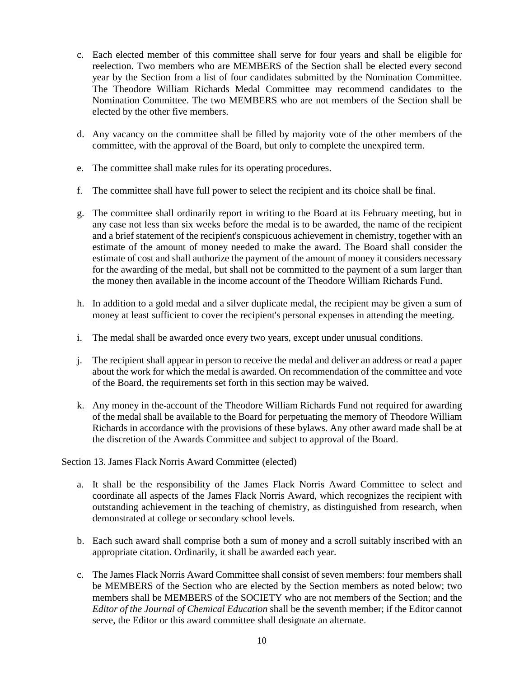- c. Each elected member of this committee shall serve for four years and shall be eligible for reelection. Two members who are MEMBERS of the Section shall be elected every second year by the Section from a list of four candidates submitted by the Nomination Committee. The Theodore William Richards Medal Committee may recommend candidates to the Nomination Committee. The two MEMBERS who are not members of the Section shall be elected by the other five members.
- d. Any vacancy on the committee shall be filled by majority vote of the other members of the committee, with the approval of the Board, but only to complete the unexpired term.
- e. The committee shall make rules for its operating procedures.
- f. The committee shall have full power to select the recipient and its choice shall be final.
- g. The committee shall ordinarily report in writing to the Board at its February meeting, but in any case not less than six weeks before the medal is to be awarded, the name of the recipient and a brief statement of the recipient's conspicuous achievement in chemistry, together with an estimate of the amount of money needed to make the award. The Board shall consider the estimate of cost and shall authorize the payment of the amount of money it considers necessary for the awarding of the medal, but shall not be committed to the payment of a sum larger than the money then available in the income account of the Theodore William Richards Fund.
- h. In addition to a gold medal and a silver duplicate medal, the recipient may be given a sum of money at least sufficient to cover the recipient's personal expenses in attending the meeting.
- i. The medal shall be awarded once every two years, except under unusual conditions.
- j. The recipient shall appear in person to receive the medal and deliver an address or read a paper about the work for which the medal is awarded. On recommendation of the committee and vote of the Board, the requirements set forth in this section may be waived.
- k. Any money in the account of the Theodore William Richards Fund not required for awarding of the medal shall be available to the Board for perpetuating the memory of Theodore William Richards in accordance with the provisions of these bylaws. Any other award made shall be at the discretion of the Awards Committee and subject to approval of the Board.

# Section 13. James Flack Norris Award Committee (elected)

- a. It shall be the responsibility of the James Flack Norris Award Committee to select and coordinate all aspects of the James Flack Norris Award, which recognizes the recipient with outstanding achievement in the teaching of chemistry, as distinguished from research, when demonstrated at college or secondary school levels.
- b. Each such award shall comprise both a sum of money and a scroll suitably inscribed with an appropriate citation. Ordinarily, it shall be awarded each year.
- c. The James Flack Norris Award Committee shall consist of seven members: four members shall be MEMBERS of the Section who are elected by the Section members as noted below; two members shall be MEMBERS of the SOCIETY who are not members of the Section; and the *Editor of the Journal of Chemical Education* shall be the seventh member; if the Editor cannot serve, the Editor or this award committee shall designate an alternate.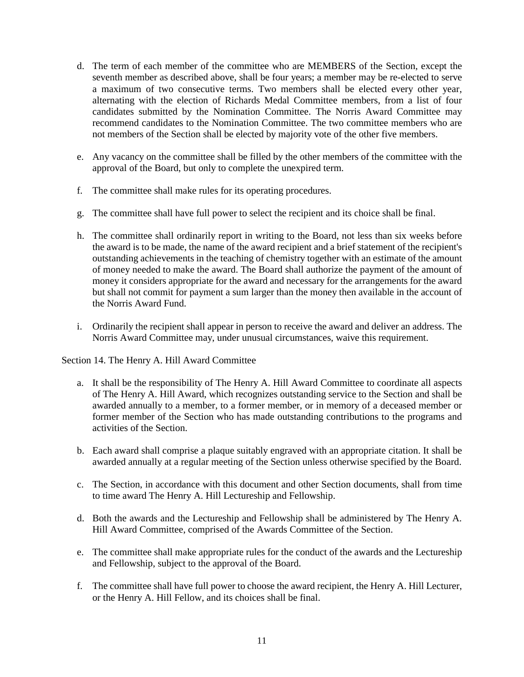- d. The term of each member of the committee who are MEMBERS of the Section, except the seventh member as described above, shall be four years; a member may be re-elected to serve a maximum of two consecutive terms. Two members shall be elected every other year, alternating with the election of Richards Medal Committee members, from a list of four candidates submitted by the Nomination Committee. The Norris Award Committee may recommend candidates to the Nomination Committee. The two committee members who are not members of the Section shall be elected by majority vote of the other five members.
- e. Any vacancy on the committee shall be filled by the other members of the committee with the approval of the Board, but only to complete the unexpired term.
- f. The committee shall make rules for its operating procedures.
- g. The committee shall have full power to select the recipient and its choice shall be final.
- h. The committee shall ordinarily report in writing to the Board, not less than six weeks before the award is to be made, the name of the award recipient and a brief statement of the recipient's outstanding achievements in the teaching of chemistry together with an estimate of the amount of money needed to make the award. The Board shall authorize the payment of the amount of money it considers appropriate for the award and necessary for the arrangements for the award but shall not commit for payment a sum larger than the money then available in the account of the Norris Award Fund.
- i. Ordinarily the recipient shall appear in person to receive the award and deliver an address. The Norris Award Committee may, under unusual circumstances, waive this requirement.

Section 14. The Henry A. Hill Award Committee

- a. It shall be the responsibility of The Henry A. Hill Award Committee to coordinate all aspects of The Henry A. Hill Award, which recognizes outstanding service to the Section and shall be awarded annually to a member, to a former member, or in memory of a deceased member or former member of the Section who has made outstanding contributions to the programs and activities of the Section.
- b. Each award shall comprise a plaque suitably engraved with an appropriate citation. It shall be awarded annually at a regular meeting of the Section unless otherwise specified by the Board.
- c. The Section, in accordance with this document and other Section documents, shall from time to time award The Henry A. Hill Lectureship and Fellowship.
- d. Both the awards and the Lectureship and Fellowship shall be administered by The Henry A. Hill Award Committee, comprised of the Awards Committee of the Section.
- e. The committee shall make appropriate rules for the conduct of the awards and the Lectureship and Fellowship, subject to the approval of the Board.
- f. The committee shall have full power to choose the award recipient, the Henry A. Hill Lecturer, or the Henry A. Hill Fellow, and its choices shall be final.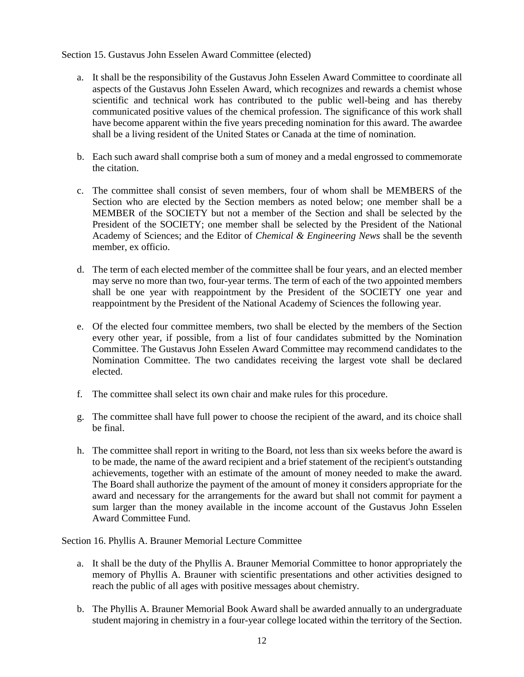### Section 15. Gustavus John Esselen Award Committee (elected)

- a. It shall be the responsibility of the Gustavus John Esselen Award Committee to coordinate all aspects of the Gustavus John Esselen Award, which recognizes and rewards a chemist whose scientific and technical work has contributed to the public well-being and has thereby communicated positive values of the chemical profession. The significance of this work shall have become apparent within the five years preceding nomination for this award. The awardee shall be a living resident of the United States or Canada at the time of nomination.
- b. Each such award shall comprise both a sum of money and a medal engrossed to commemorate the citation.
- c. The committee shall consist of seven members, four of whom shall be MEMBERS of the Section who are elected by the Section members as noted below; one member shall be a MEMBER of the SOCIETY but not a member of the Section and shall be selected by the President of the SOCIETY; one member shall be selected by the President of the National Academy of Sciences; and the Editor of *Chemical & Engineering News* shall be the seventh member, ex officio.
- d. The term of each elected member of the committee shall be four years, and an elected member may serve no more than two, four-year terms. The term of each of the two appointed members shall be one year with reappointment by the President of the SOCIETY one year and reappointment by the President of the National Academy of Sciences the following year.
- e. Of the elected four committee members, two shall be elected by the members of the Section every other year, if possible, from a list of four candidates submitted by the Nomination Committee. The Gustavus John Esselen Award Committee may recommend candidates to the Nomination Committee. The two candidates receiving the largest vote shall be declared elected.
- f. The committee shall select its own chair and make rules for this procedure.
- g. The committee shall have full power to choose the recipient of the award, and its choice shall be final.
- h. The committee shall report in writing to the Board, not less than six weeks before the award is to be made, the name of the award recipient and a brief statement of the recipient's outstanding achievements, together with an estimate of the amount of money needed to make the award. The Board shall authorize the payment of the amount of money it considers appropriate for the award and necessary for the arrangements for the award but shall not commit for payment a sum larger than the money available in the income account of the Gustavus John Esselen Award Committee Fund.

Section 16. Phyllis A. Brauner Memorial Lecture Committee

- a. It shall be the duty of the Phyllis A. Brauner Memorial Committee to honor appropriately the memory of Phyllis A. Brauner with scientific presentations and other activities designed to reach the public of all ages with positive messages about chemistry.
- b. The Phyllis A. Brauner Memorial Book Award shall be awarded annually to an undergraduate student majoring in chemistry in a four-year college located within the territory of the Section.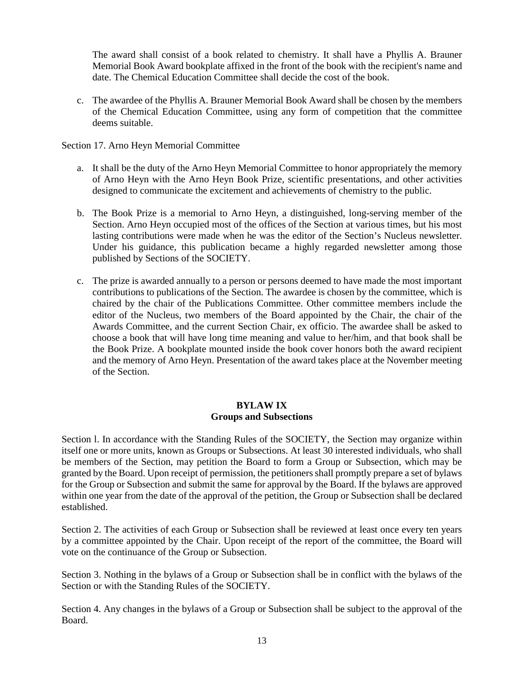The award shall consist of a book related to chemistry. It shall have a Phyllis A. Brauner Memorial Book Award bookplate affixed in the front of the book with the recipient's name and date. The Chemical Education Committee shall decide the cost of the book.

c. The awardee of the Phyllis A. Brauner Memorial Book Award shall be chosen by the members of the Chemical Education Committee, using any form of competition that the committee deems suitable.

Section 17. Arno Heyn Memorial Committee

- a. It shall be the duty of the Arno Heyn Memorial Committee to honor appropriately the memory of Arno Heyn with the Arno Heyn Book Prize, scientific presentations, and other activities designed to communicate the excitement and achievements of chemistry to the public.
- b. The Book Prize is a memorial to Arno Heyn, a distinguished, long-serving member of the Section. Arno Heyn occupied most of the offices of the Section at various times, but his most lasting contributions were made when he was the editor of the Section's Nucleus newsletter. Under his guidance, this publication became a highly regarded newsletter among those published by Sections of the SOCIETY.
- c. The prize is awarded annually to a person or persons deemed to have made the most important contributions to publications of the Section. The awardee is chosen by the committee, which is chaired by the chair of the Publications Committee. Other committee members include the editor of the Nucleus, two members of the Board appointed by the Chair, the chair of the Awards Committee, and the current Section Chair, ex officio. The awardee shall be asked to choose a book that will have long time meaning and value to her/him, and that book shall be the Book Prize. A bookplate mounted inside the book cover honors both the award recipient and the memory of Arno Heyn. Presentation of the award takes place at the November meeting of the Section.

## **BYLAW IX Groups and Subsections**

Section l. In accordance with the Standing Rules of the SOCIETY, the Section may organize within itself one or more units, known as Groups or Subsections. At least 30 interested individuals, who shall be members of the Section, may petition the Board to form a Group or Subsection, which may be granted by the Board. Upon receipt of permission, the petitioners shall promptly prepare a set of bylaws for the Group or Subsection and submit the same for approval by the Board. If the bylaws are approved within one year from the date of the approval of the petition, the Group or Subsection shall be declared established.

Section 2. The activities of each Group or Subsection shall be reviewed at least once every ten years by a committee appointed by the Chair. Upon receipt of the report of the committee, the Board will vote on the continuance of the Group or Subsection.

Section 3. Nothing in the bylaws of a Group or Subsection shall be in conflict with the bylaws of the Section or with the Standing Rules of the SOCIETY.

Section 4. Any changes in the bylaws of a Group or Subsection shall be subject to the approval of the Board.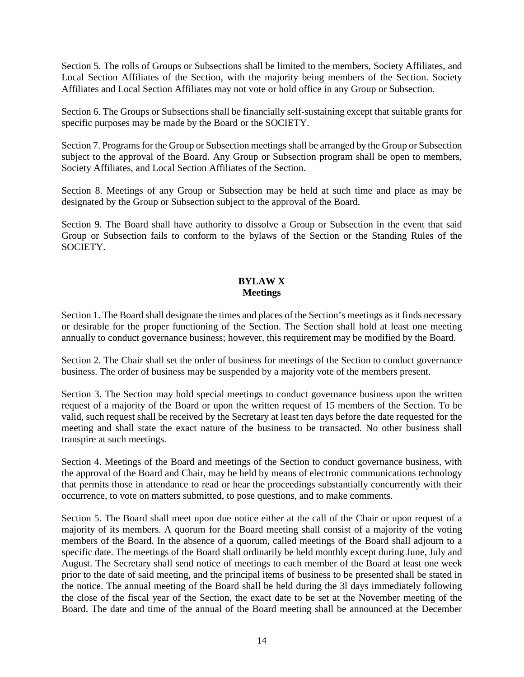Section 5. The rolls of Groups or Subsections shall be limited to the members, Society Affiliates, and Local Section Affiliates of the Section, with the majority being members of the Section. Society Affiliates and Local Section Affiliates may not vote or hold office in any Group or Subsection.

Section 6. The Groups or Subsections shall be financially self-sustaining except that suitable grants for specific purposes may be made by the Board or the SOCIETY.

Section 7. Programs for the Group or Subsection meetings shall be arranged by the Group or Subsection subject to the approval of the Board. Any Group or Subsection program shall be open to members, Society Affiliates, and Local Section Affiliates of the Section.

Section 8. Meetings of any Group or Subsection may be held at such time and place as may be designated by the Group or Subsection subject to the approval of the Board.

Section 9. The Board shall have authority to dissolve a Group or Subsection in the event that said Group or Subsection fails to conform to the bylaws of the Section or the Standing Rules of the **SOCIETY** 

# **BYLAW X Meetings**

Section 1. The Board shall designate the times and places of the Section's meetings as it finds necessary or desirable for the proper functioning of the Section. The Section shall hold at least one meeting annually to conduct governance business; however, this requirement may be modified by the Board.

Section 2. The Chair shall set the order of business for meetings of the Section to conduct governance business. The order of business may be suspended by a majority vote of the members present.

Section 3. The Section may hold special meetings to conduct governance business upon the written request of a majority of the Board or upon the written request of 15 members of the Section. To be valid, such request shall be received by the Secretary at least ten days before the date requested for the meeting and shall state the exact nature of the business to be transacted. No other business shall transpire at such meetings.

Section 4. Meetings of the Board and meetings of the Section to conduct governance business, with the approval of the Board and Chair, may be held by means of electronic communications technology that permits those in attendance to read or hear the proceedings substantially concurrently with their occurrence, to vote on matters submitted, to pose questions, and to make comments.

Section 5. The Board shall meet upon due notice either at the call of the Chair or upon request of a majority of its members. A quorum for the Board meeting shall consist of a majority of the voting members of the Board. In the absence of a quorum, called meetings of the Board shall adjourn to a specific date. The meetings of the Board shall ordinarily be held monthly except during June, July and August. The Secretary shall send notice of meetings to each member of the Board at least one week prior to the date of said meeting, and the principal items of business to be presented shall be stated in the notice. The annual meeting of the Board shall be held during the 3l days immediately following the close of the fiscal year of the Section, the exact date to be set at the November meeting of the Board. The date and time of the annual of the Board meeting shall be announced at the December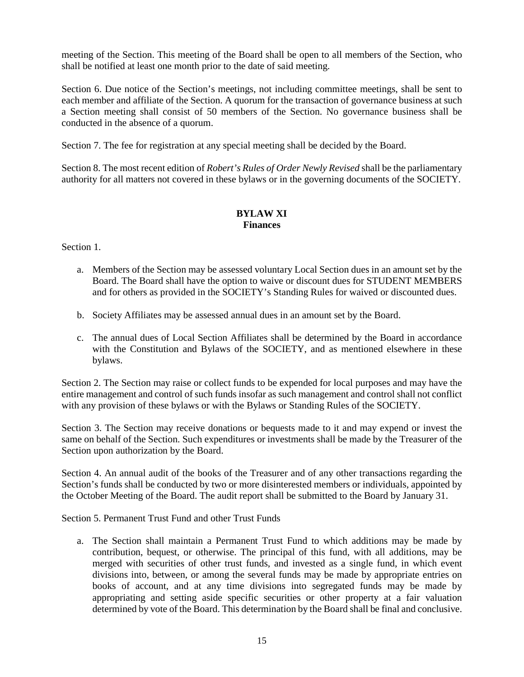meeting of the Section. This meeting of the Board shall be open to all members of the Section, who shall be notified at least one month prior to the date of said meeting.

Section 6. Due notice of the Section's meetings, not including committee meetings, shall be sent to each member and affiliate of the Section. A quorum for the transaction of governance business at such a Section meeting shall consist of 50 members of the Section. No governance business shall be conducted in the absence of a quorum.

Section 7. The fee for registration at any special meeting shall be decided by the Board.

Section 8. The most recent edition of *Robert's Rules of Order Newly Revised* shall be the parliamentary authority for all matters not covered in these bylaws or in the governing documents of the SOCIETY.

# **BYLAW XI Finances**

Section 1.

- a. Members of the Section may be assessed voluntary Local Section dues in an amount set by the Board. The Board shall have the option to waive or discount dues for STUDENT MEMBERS and for others as provided in the SOCIETY's Standing Rules for waived or discounted dues.
- b. Society Affiliates may be assessed annual dues in an amount set by the Board.
- c. The annual dues of Local Section Affiliates shall be determined by the Board in accordance with the Constitution and Bylaws of the SOCIETY, and as mentioned elsewhere in these bylaws.

Section 2. The Section may raise or collect funds to be expended for local purposes and may have the entire management and control of such funds insofar as such management and control shall not conflict with any provision of these bylaws or with the Bylaws or Standing Rules of the SOCIETY.

Section 3. The Section may receive donations or bequests made to it and may expend or invest the same on behalf of the Section. Such expenditures or investments shall be made by the Treasurer of the Section upon authorization by the Board.

Section 4. An annual audit of the books of the Treasurer and of any other transactions regarding the Section's funds shall be conducted by two or more disinterested members or individuals, appointed by the October Meeting of the Board. The audit report shall be submitted to the Board by January 31.

Section 5. Permanent Trust Fund and other Trust Funds

a. The Section shall maintain a Permanent Trust Fund to which additions may be made by contribution, bequest, or otherwise. The principal of this fund, with all additions, may be merged with securities of other trust funds, and invested as a single fund, in which event divisions into, between, or among the several funds may be made by appropriate entries on books of account, and at any time divisions into segregated funds may be made by appropriating and setting aside specific securities or other property at a fair valuation determined by vote of the Board. This determination by the Board shall be final and conclusive.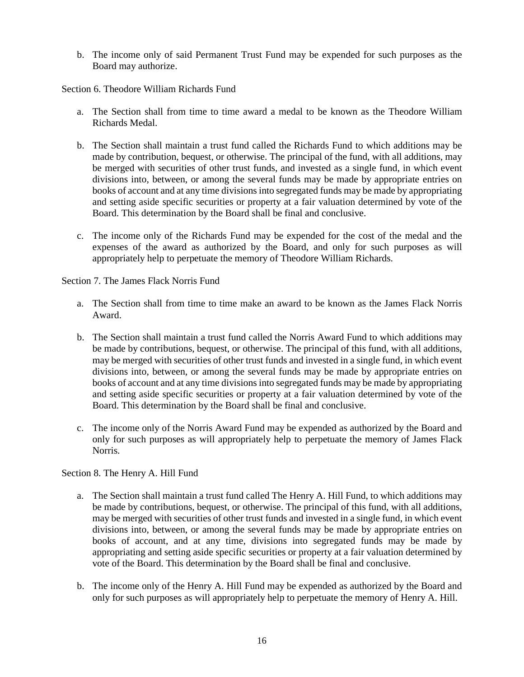b. The income only of said Permanent Trust Fund may be expended for such purposes as the Board may authorize.

Section 6. Theodore William Richards Fund

- a. The Section shall from time to time award a medal to be known as the Theodore William Richards Medal.
- b. The Section shall maintain a trust fund called the Richards Fund to which additions may be made by contribution, bequest, or otherwise. The principal of the fund, with all additions, may be merged with securities of other trust funds, and invested as a single fund, in which event divisions into, between, or among the several funds may be made by appropriate entries on books of account and at any time divisions into segregated funds may be made by appropriating and setting aside specific securities or property at a fair valuation determined by vote of the Board. This determination by the Board shall be final and conclusive.
- c. The income only of the Richards Fund may be expended for the cost of the medal and the expenses of the award as authorized by the Board, and only for such purposes as will appropriately help to perpetuate the memory of Theodore William Richards.

Section 7. The James Flack Norris Fund

- a. The Section shall from time to time make an award to be known as the James Flack Norris Award.
- b. The Section shall maintain a trust fund called the Norris Award Fund to which additions may be made by contributions, bequest, or otherwise. The principal of this fund, with all additions, may be merged with securities of other trust funds and invested in a single fund, in which event divisions into, between, or among the several funds may be made by appropriate entries on books of account and at any time divisions into segregated funds may be made by appropriating and setting aside specific securities or property at a fair valuation determined by vote of the Board. This determination by the Board shall be final and conclusive.
- c. The income only of the Norris Award Fund may be expended as authorized by the Board and only for such purposes as will appropriately help to perpetuate the memory of James Flack Norris.

Section 8. The Henry A. Hill Fund

- a. The Section shall maintain a trust fund called The Henry A. Hill Fund, to which additions may be made by contributions, bequest, or otherwise. The principal of this fund, with all additions, may be merged with securities of other trust funds and invested in a single fund, in which event divisions into, between, or among the several funds may be made by appropriate entries on books of account, and at any time, divisions into segregated funds may be made by appropriating and setting aside specific securities or property at a fair valuation determined by vote of the Board. This determination by the Board shall be final and conclusive.
- b. The income only of the Henry A. Hill Fund may be expended as authorized by the Board and only for such purposes as will appropriately help to perpetuate the memory of Henry A. Hill.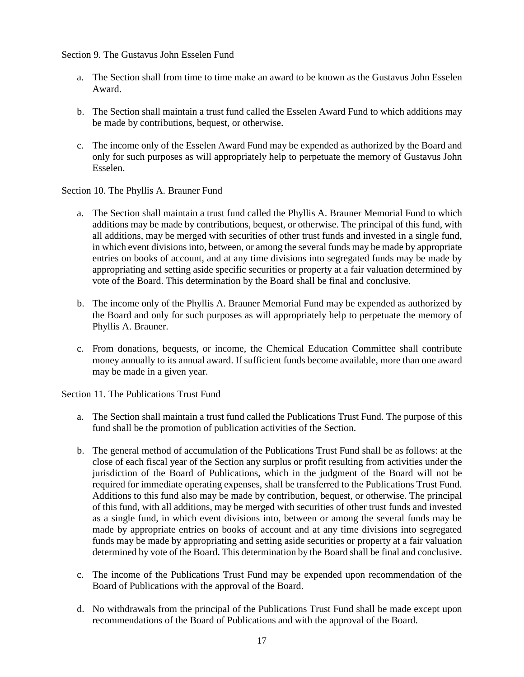Section 9. The Gustavus John Esselen Fund

- a. The Section shall from time to time make an award to be known as the Gustavus John Esselen Award.
- b. The Section shall maintain a trust fund called the Esselen Award Fund to which additions may be made by contributions, bequest, or otherwise.
- c. The income only of the Esselen Award Fund may be expended as authorized by the Board and only for such purposes as will appropriately help to perpetuate the memory of Gustavus John Esselen.

Section 10. The Phyllis A. Brauner Fund

- a. The Section shall maintain a trust fund called the Phyllis A. Brauner Memorial Fund to which additions may be made by contributions, bequest, or otherwise. The principal of this fund, with all additions, may be merged with securities of other trust funds and invested in a single fund, in which event divisions into, between, or among the several funds may be made by appropriate entries on books of account, and at any time divisions into segregated funds may be made by appropriating and setting aside specific securities or property at a fair valuation determined by vote of the Board. This determination by the Board shall be final and conclusive.
- b. The income only of the Phyllis A. Brauner Memorial Fund may be expended as authorized by the Board and only for such purposes as will appropriately help to perpetuate the memory of Phyllis A. Brauner.
- c. From donations, bequests, or income, the Chemical Education Committee shall contribute money annually to its annual award. If sufficient funds become available, more than one award may be made in a given year.

Section 11. The Publications Trust Fund

- a. The Section shall maintain a trust fund called the Publications Trust Fund. The purpose of this fund shall be the promotion of publication activities of the Section.
- b. The general method of accumulation of the Publications Trust Fund shall be as follows: at the close of each fiscal year of the Section any surplus or profit resulting from activities under the jurisdiction of the Board of Publications, which in the judgment of the Board will not be required for immediate operating expenses, shall be transferred to the Publications Trust Fund. Additions to this fund also may be made by contribution, bequest, or otherwise. The principal of this fund, with all additions, may be merged with securities of other trust funds and invested as a single fund, in which event divisions into, between or among the several funds may be made by appropriate entries on books of account and at any time divisions into segregated funds may be made by appropriating and setting aside securities or property at a fair valuation determined by vote of the Board. This determination by the Board shall be final and conclusive.
- c. The income of the Publications Trust Fund may be expended upon recommendation of the Board of Publications with the approval of the Board.
- d. No withdrawals from the principal of the Publications Trust Fund shall be made except upon recommendations of the Board of Publications and with the approval of the Board.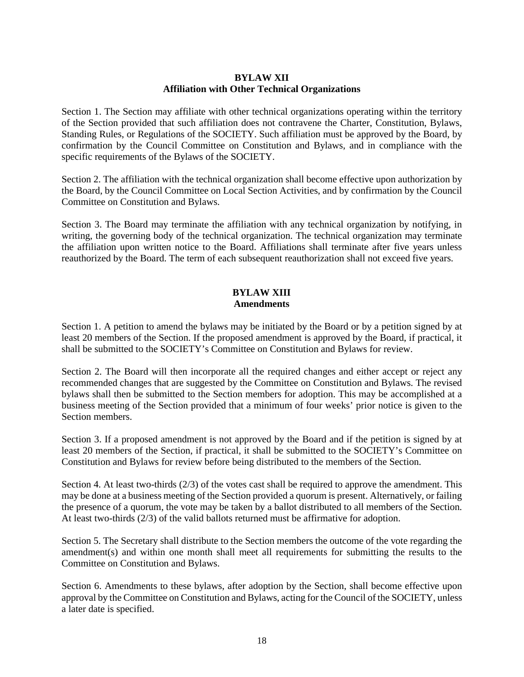## **BYLAW XII Affiliation with Other Technical Organizations**

Section 1. The Section may affiliate with other technical organizations operating within the territory of the Section provided that such affiliation does not contravene the Charter, Constitution, Bylaws, Standing Rules, or Regulations of the SOCIETY. Such affiliation must be approved by the Board, by confirmation by the Council Committee on Constitution and Bylaws, and in compliance with the specific requirements of the Bylaws of the SOCIETY.

Section 2. The affiliation with the technical organization shall become effective upon authorization by the Board, by the Council Committee on Local Section Activities, and by confirmation by the Council Committee on Constitution and Bylaws.

Section 3. The Board may terminate the affiliation with any technical organization by notifying, in writing, the governing body of the technical organization. The technical organization may terminate the affiliation upon written notice to the Board. Affiliations shall terminate after five years unless reauthorized by the Board. The term of each subsequent reauthorization shall not exceed five years.

# **BYLAW XIII Amendments**

Section 1. A petition to amend the bylaws may be initiated by the Board or by a petition signed by at least 20 members of the Section. If the proposed amendment is approved by the Board, if practical, it shall be submitted to the SOCIETY's Committee on Constitution and Bylaws for review.

Section 2. The Board will then incorporate all the required changes and either accept or reject any recommended changes that are suggested by the Committee on Constitution and Bylaws. The revised bylaws shall then be submitted to the Section members for adoption. This may be accomplished at a business meeting of the Section provided that a minimum of four weeks' prior notice is given to the Section members.

Section 3. If a proposed amendment is not approved by the Board and if the petition is signed by at least 20 members of the Section, if practical, it shall be submitted to the SOCIETY's Committee on Constitution and Bylaws for review before being distributed to the members of the Section.

Section 4. At least two-thirds (2/3) of the votes cast shall be required to approve the amendment. This may be done at a business meeting of the Section provided a quorum is present. Alternatively, or failing the presence of a quorum, the vote may be taken by a ballot distributed to all members of the Section. At least two-thirds (2/3) of the valid ballots returned must be affirmative for adoption.

Section 5. The Secretary shall distribute to the Section members the outcome of the vote regarding the amendment(s) and within one month shall meet all requirements for submitting the results to the Committee on Constitution and Bylaws.

Section 6. Amendments to these bylaws, after adoption by the Section, shall become effective upon approval by the Committee on Constitution and Bylaws, acting for the Council of the SOCIETY, unless a later date is specified.